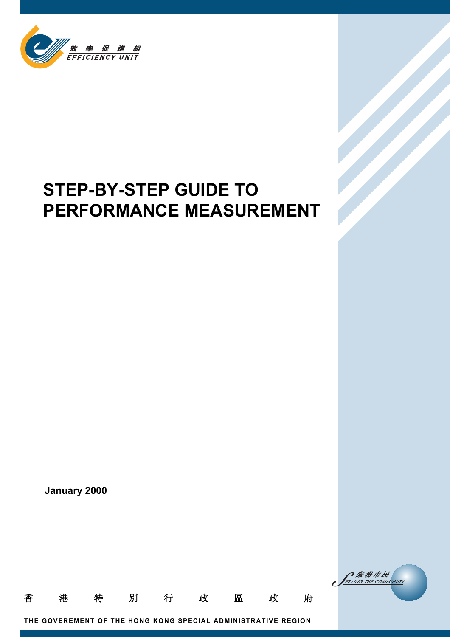

# **STEP-BY-STEP GUIDE TO PERFORMANCE MEASUREMENT**

**January 2000**



**THE GOVEREMENT OF THE HONG KONG SPECIAL ADMINISTRATIVE REGION**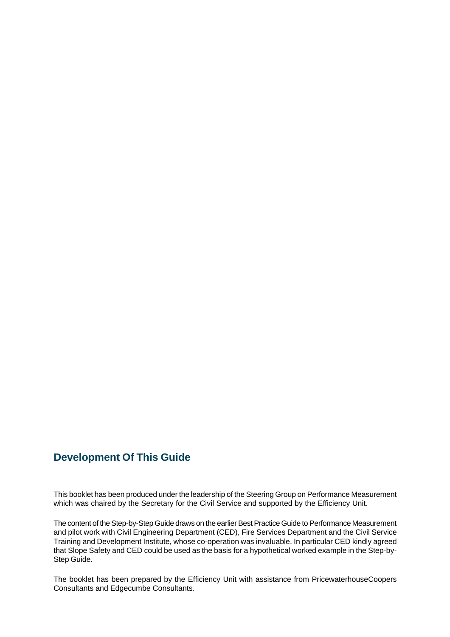## **Development Of This Guide**

This booklet has been produced under the leadership of the Steering Group on Performance Measurement which was chaired by the Secretary for the Civil Service and supported by the Efficiency Unit.

The content of the Step-by-Step Guide draws on the earlier Best Practice Guide to Performance Measurement and pilot work with Civil Engineering Department (CED), Fire Services Department and the Civil Service Training and Development Institute, whose co-operation was invaluable. In particular CED kindly agreed that Slope Safety and CED could be used as the basis for a hypothetical worked example in the Step-by-Step Guide.

The booklet has been prepared by the Efficiency Unit with assistance from PricewaterhouseCoopers Consultants and Edgecumbe Consultants.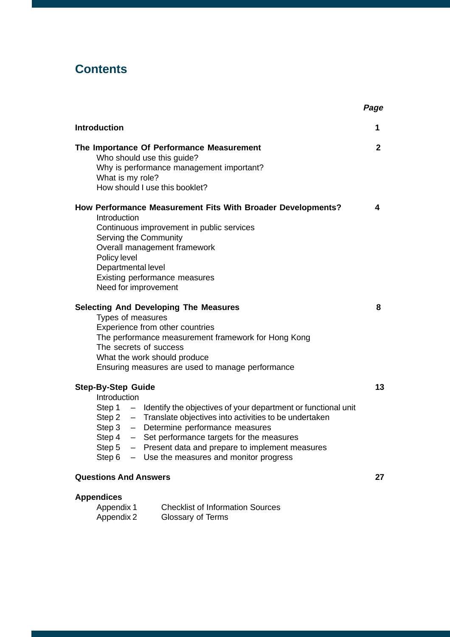## **Contents**

| <b>Introduction</b>                                                                                                                                                                                                                                                                                                                                                                                         | 1            |  |
|-------------------------------------------------------------------------------------------------------------------------------------------------------------------------------------------------------------------------------------------------------------------------------------------------------------------------------------------------------------------------------------------------------------|--------------|--|
| The Importance Of Performance Measurement<br>Who should use this guide?<br>Why is performance management important?<br>What is my role?<br>How should I use this booklet?                                                                                                                                                                                                                                   | $\mathbf{2}$ |  |
| How Performance Measurement Fits With Broader Developments?<br>Introduction<br>Continuous improvement in public services<br>Serving the Community<br>Overall management framework<br>Policy level<br>Departmental level<br>Existing performance measures<br>Need for improvement                                                                                                                            | 4            |  |
| <b>Selecting And Developing The Measures</b><br>Types of measures<br>Experience from other countries<br>The performance measurement framework for Hong Kong<br>The secrets of success<br>What the work should produce<br>Ensuring measures are used to manage performance                                                                                                                                   | 8            |  |
| <b>Step-By-Step Guide</b><br>Introduction<br>Step $1 -$ Identify the objectives of your department or functional unit<br>Step 2 - Translate objectives into activities to be undertaken<br>Step 3 - Determine performance measures<br>Step $4 - Set$ performance targets for the measures<br>- Present data and prepare to implement measures<br>Step 5<br>Step $6 -$ Use the measures and monitor progress | 13           |  |
| <b>Questions And Answers</b>                                                                                                                                                                                                                                                                                                                                                                                |              |  |
| <b>Appendices</b><br><b>Checklist of Information Sources</b><br>Appendix 1                                                                                                                                                                                                                                                                                                                                  |              |  |

Appendix 2 Glossary of Terms

**Page**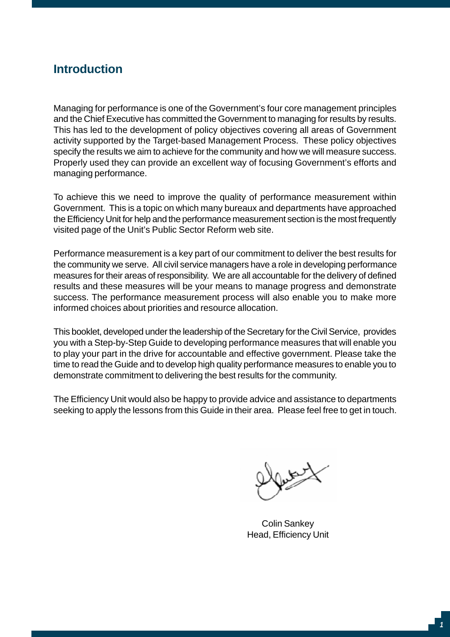## **Introduction**

Managing for performance is one of the Government's four core management principles and the Chief Executive has committed the Government to managing for results by results. This has led to the development of policy objectives covering all areas of Government activity supported by the Target-based Management Process. These policy objectives specify the results we aim to achieve for the community and how we will measure success. Properly used they can provide an excellent way of focusing Government's efforts and managing performance.

To achieve this we need to improve the quality of performance measurement within Government. This is a topic on which many bureaux and departments have approached the Efficiency Unit for help and the performance measurement section is the most frequently visited page of the Unit's Public Sector Reform web site.

Performance measurement is a key part of our commitment to deliver the best results for the community we serve. All civil service managers have a role in developing performance measures for their areas of responsibility. We are all accountable for the delivery of defined results and these measures will be your means to manage progress and demonstrate success. The performance measurement process will also enable you to make more informed choices about priorities and resource allocation.

This booklet, developed under the leadership of the Secretary for the Civil Service, provides you with a Step-by-Step Guide to developing performance measures that will enable you to play your part in the drive for accountable and effective government. Please take the time to read the Guide and to develop high quality performance measures to enable you to demonstrate commitment to delivering the best results for the community.

The Efficiency Unit would also be happy to provide advice and assistance to departments seeking to apply the lessons from this Guide in their area. Please feel free to get in touch.

Colin Sankey Head, Efficiency Unit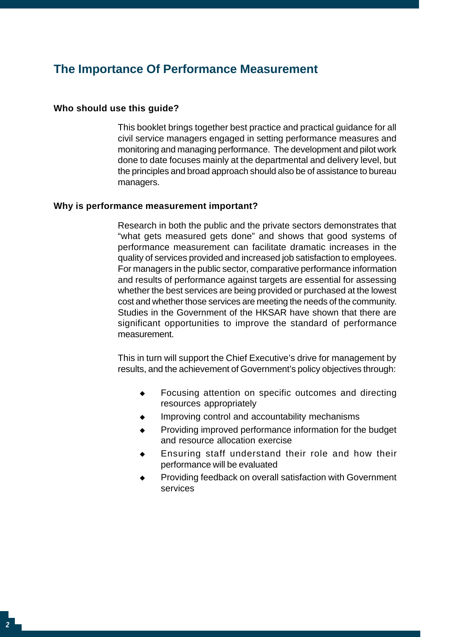## **The Importance Of Performance Measurement**

#### **Who should use this guide?**

This booklet brings together best practice and practical guidance for all civil service managers engaged in setting performance measures and monitoring and managing performance. The development and pilot work done to date focuses mainly at the departmental and delivery level, but the principles and broad approach should also be of assistance to bureau managers.

#### **Why is performance measurement important?**

Research in both the public and the private sectors demonstrates that "what gets measured gets done" and shows that good systems of performance measurement can facilitate dramatic increases in the quality of services provided and increased job satisfaction to employees. For managers in the public sector, comparative performance information and results of performance against targets are essential for assessing whether the best services are being provided or purchased at the lowest cost and whether those services are meeting the needs of the community. Studies in the Government of the HKSAR have shown that there are significant opportunities to improve the standard of performance measurement.

This in turn will support the Chief Executive's drive for management by results, and the achievement of Government's policy objectives through:

- $\bullet$ Focusing attention on specific outcomes and directing resources appropriately
- $\bullet$ Improving control and accountability mechanisms
- $\bullet$ Providing improved performance information for the budget and resource allocation exercise
- • Ensuring staff understand their role and how their performance will be evaluated
- $\bullet$ Providing feedback on overall satisfaction with Government services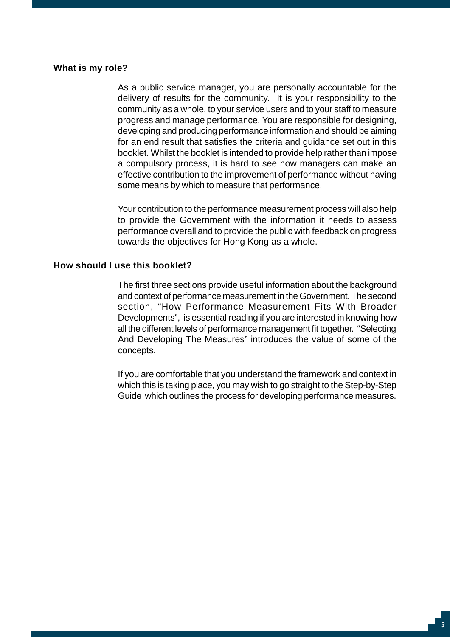#### **What is my role?**

As a public service manager, you are personally accountable for the delivery of results for the community. It is your responsibility to the community as a whole, to your service users and to your staff to measure progress and manage performance. You are responsible for designing, developing and producing performance information and should be aiming for an end result that satisfies the criteria and guidance set out in this booklet. Whilst the booklet is intended to provide help rather than impose a compulsory process, it is hard to see how managers can make an effective contribution to the improvement of performance without having some means by which to measure that performance.

Your contribution to the performance measurement process will also help to provide the Government with the information it needs to assess performance overall and to provide the public with feedback on progress towards the objectives for Hong Kong as a whole.

#### **How should I use this booklet?**

The first three sections provide useful information about the background and context of performance measurement in the Government. The second section, "How Performance Measurement Fits With Broader Developments", is essential reading if you are interested in knowing how all the different levels of performance management fit together. "Selecting And Developing The Measures" introduces the value of some of the concepts.

If you are comfortable that you understand the framework and context in which this is taking place, you may wish to go straight to the Step-by-Step Guide which outlines the process for developing performance measures.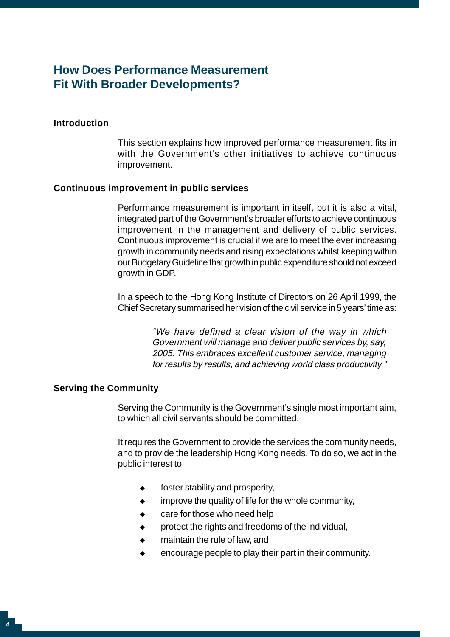## **How Does Performance Measurement Fit With Broader Developments?**

#### **Introduction**

This section explains how improved performance measurement fits in with the Government's other initiatives to achieve continuous improvement.

#### **Continuous improvement in public services**

Performance measurement is important in itself, but it is also a vital, integrated part of the Government's broader efforts to achieve continuous improvement in the management and delivery of public services. Continuous improvement is crucial if we are to meet the ever increasing growth in community needs and rising expectations whilst keeping within our Budgetary Guideline that growth in public expenditure should not exceed growth in GDP.

In a speech to the Hong Kong Institute of Directors on 26 April 1999, the Chief Secretary summarised her vision of the civil service in 5 years' time as:

> "We have defined a clear vision of the way in which Government will manage and deliver public services by, say, 2005. This embraces excellent customer service, managing for results by results, and achieving world class productivity."

#### **Serving the Community**

Serving the Community is the Government's single most important aim, to which all civil servants should be committed.

It requires the Government to provide the services the community needs, and to provide the leadership Hong Kong needs. To do so, we act in the public interest to:

- $\bullet$ foster stability and prosperity,
- $\bullet$ mprove the quality of life for the whole community,
- $\bullet$ care for those who need help
- $\bullet$ protect the rights and freedoms of the individual,
- $\bullet$ maintain the rule of law, and
- encourage people to play their part in their community.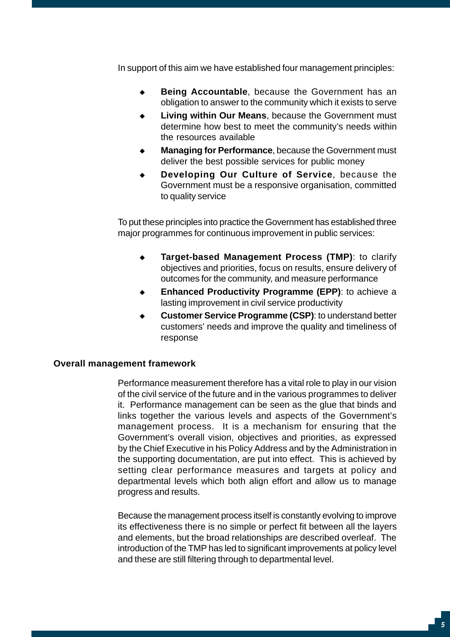In support of this aim we have established four management principles:

- $\bullet$ **Being Accountable**, because the Government has an obligation to answer to the community which it exists to serve
- • **Living within Our Means**, because the Government must determine how best to meet the community's needs within the resources available
- • **Managing for Performance**, because the Government must deliver the best possible services for public money
- • **Developing Our Culture of Service**, because the Government must be a responsive organisation, committed to quality service

To put these principles into practice the Government has established three major programmes for continuous improvement in public services:

- $\bullet$ **Target-based Management Process (TMP)**: to clarify objectives and priorities, focus on results, ensure delivery of outcomes for the community, and measure performance
- $\bullet$ **Enhanced Productivity Programme (EPP)**: to achieve a lasting improvement in civil service productivity
- $\bullet$ **Customer Service Programme (CSP)**: to understand better customers' needs and improve the quality and timeliness of response

#### **Overall management framework**

Performance measurement therefore has a vital role to play in our vision of the civil service of the future and in the various programmes to deliver it. Performance management can be seen as the glue that binds and links together the various levels and aspects of the Government's management process. It is a mechanism for ensuring that the Government's overall vision, objectives and priorities, as expressed by the Chief Executive in his Policy Address and by the Administration in the supporting documentation, are put into effect. This is achieved by setting clear performance measures and targets at policy and departmental levels which both align effort and allow us to manage progress and results.

Because the management process itself is constantly evolving to improve its effectiveness there is no simple or perfect fit between all the layers and elements, but the broad relationships are described overleaf. The introduction of the TMP has led to significant improvements at policy level and these are still filtering through to departmental level.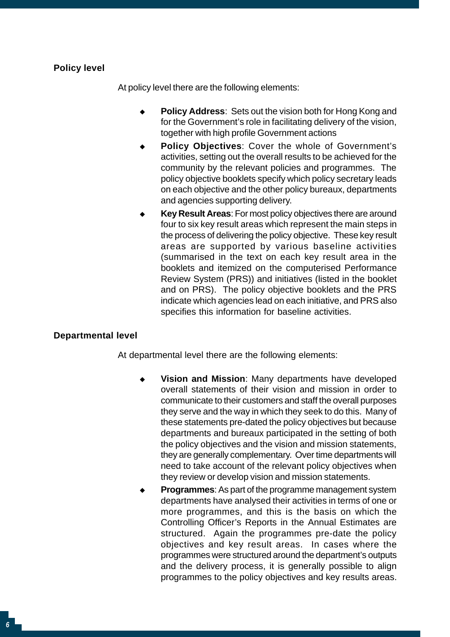## **Policy level**

At policy level there are the following elements:

- • **Policy Address**: Sets out the vision both for Hong Kong and for the Government's role in facilitating delivery of the vision, together with high profile Government actions
- $\bullet$ **Policy Objectives**: Cover the whole of Government's activities, setting out the overall results to be achieved for the community by the relevant policies and programmes. The policy objective booklets specify which policy secretary leads on each objective and the other policy bureaux, departments and agencies supporting delivery.
- • **Key Result Areas**: For most policy objectives there are around four to six key result areas which represent the main steps in the process of delivering the policy objective. These key result areas are supported by various baseline activities (summarised in the text on each key result area in the booklets and itemized on the computerised Performance Review System (PRS)) and initiatives (listed in the booklet and on PRS). The policy objective booklets and the PRS indicate which agencies lead on each initiative, and PRS also specifies this information for baseline activities.

### **Departmental level**

At departmental level there are the following elements:

- $\bullet$ **Vision and Mission**: Many departments have developed overall statements of their vision and mission in order to communicate to their customers and staff the overall purposes they serve and the way in which they seek to do this. Many of these statements pre-dated the policy objectives but because departments and bureaux participated in the setting of both the policy objectives and the vision and mission statements, they are generally complementary. Over time departments will need to take account of the relevant policy objectives when they review or develop vision and mission statements.
- • **Programmes**: As part of the programme management system departments have analysed their activities in terms of one or more programmes, and this is the basis on which the Controlling Officer's Reports in the Annual Estimates are structured. Again the programmes pre-date the policy objectives and key result areas. In cases where the programmes were structured around the department's outputs and the delivery process, it is generally possible to align programmes to the policy objectives and key results areas.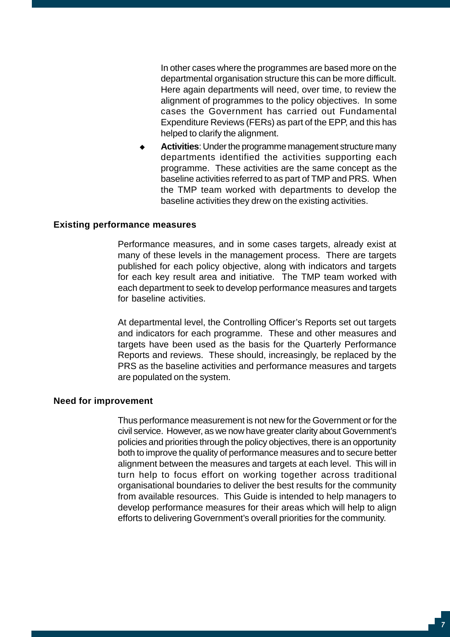In other cases where the programmes are based more on the departmental organisation structure this can be more difficult. Here again departments will need, over time, to review the alignment of programmes to the policy objectives. In some cases the Government has carried out Fundamental Expenditure Reviews (FERs) as part of the EPP, and this has helped to clarify the alignment.

Activities: Under the programme management structure many departments identified the activities supporting each programme. These activities are the same concept as the baseline activities referred to as part of TMP and PRS. When the TMP team worked with departments to develop the baseline activities they drew on the existing activities.

#### **Existing performance measures**

Performance measures, and in some cases targets, already exist at many of these levels in the management process. There are targets published for each policy objective, along with indicators and targets for each key result area and initiative. The TMP team worked with each department to seek to develop performance measures and targets for baseline activities.

At departmental level, the Controlling Officer's Reports set out targets and indicators for each programme. These and other measures and targets have been used as the basis for the Quarterly Performance Reports and reviews. These should, increasingly, be replaced by the PRS as the baseline activities and performance measures and targets are populated on the system.

#### **Need for improvement**

Thus performance measurement is not new for the Government or for the civil service. However, as we now have greater clarity about Government's policies and priorities through the policy objectives, there is an opportunity both to improve the quality of performance measures and to secure better alignment between the measures and targets at each level. This will in turn help to focus effort on working together across traditional organisational boundaries to deliver the best results for the community from available resources. This Guide is intended to help managers to develop performance measures for their areas which will help to align efforts to delivering Government's overall priorities for the community.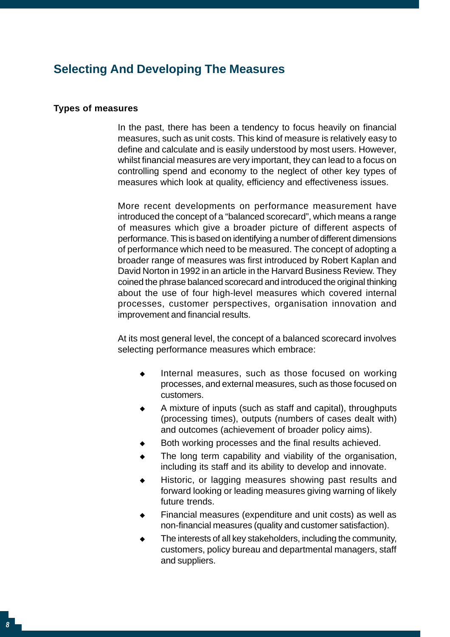## **Selecting And Developing The Measures**

#### **Types of measures**

In the past, there has been a tendency to focus heavily on financial measures, such as unit costs. This kind of measure is relatively easy to define and calculate and is easily understood by most users. However, whilst financial measures are very important, they can lead to a focus on controlling spend and economy to the neglect of other key types of measures which look at quality, efficiency and effectiveness issues.

More recent developments on performance measurement have introduced the concept of a "balanced scorecard", which means a range of measures which give a broader picture of different aspects of performance. This is based on identifying a number of different dimensions of performance which need to be measured. The concept of adopting a broader range of measures was first introduced by Robert Kaplan and David Norton in 1992 in an article in the Harvard Business Review. They coined the phrase balanced scorecard and introduced the original thinking about the use of four high-level measures which covered internal processes, customer perspectives, organisation innovation and improvement and financial results.

At its most general level, the concept of a balanced scorecard involves selecting performance measures which embrace:

- $\bullet$ Internal measures, such as those focused on working processes, and external measures, such as those focused on customers.
- • A mixture of inputs (such as staff and capital), throughputs (processing times), outputs (numbers of cases dealt with) and outcomes (achievement of broader policy aims).
- $\bullet$ Both working processes and the final results achieved.
- • i ncluding its staff and its ability to develop and innovate. The long term capability and viability of the organisation,
- $\bullet$ Historic, or lagging measures showing past results and forward looking or leading measures giving warning of likely future trends.
- $\bullet$ Financial measures (expenditure and unit costs) as well as non-financial measures (quality and customer satisfaction).
- $\bullet$ The interests of all key stakeholders, including the community, customers, policy bureau and departmental managers, staff and suppliers.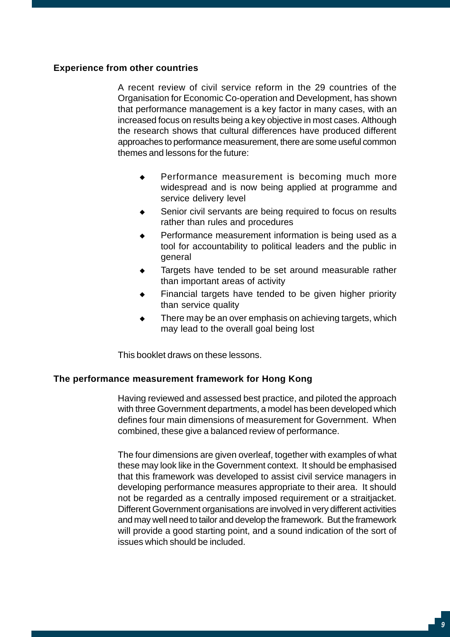### **Experience from other countries**

A recent review of civil service reform in the 29 countries of the Organisation for Economic Co-operation and Development, has shown that performance management is a key factor in many cases, with an increased focus on results being a key objective in most cases. Although the research shows that cultural differences have produced different approaches to performance measurement, there are some useful common themes and lessons for the future:

- $\bullet$ Performance measurement is becoming much more widespread and is now being applied at programme and service delivery level
- $\bullet$ Senior civil servants are being required to focus on results rather than rules and procedures
- • Performance measurement information is being used as a tool for accountability to political leaders and the public in general
- $\bullet$ Targets have tended to be set around measurable rather than important areas of activity
- • Financial targets have tended to be given higher priority than service quality
- $\bullet$ There may be an over emphasis on achieving targets, which may lead to the overall goal being lost

This booklet draws on these lessons.

#### **The performance measurement framework for Hong Kong**

Having reviewed and assessed best practice, and piloted the approach with three Government departments, a model has been developed which defines four main dimensions of measurement for Government. When combined, these give a balanced review of performance.

The four dimensions are given overleaf, together with examples of what these may look like in the Government context. It should be emphasised that this framework was developed to assist civil service managers in developing performance measures appropriate to their area. It should not be regarded as a centrally imposed requirement or a straitjacket. Different Government organisations are involved in very different activities and may well need to tailor and develop the framework. But the framework will provide a good starting point, and a sound indication of the sort of issues which should be included.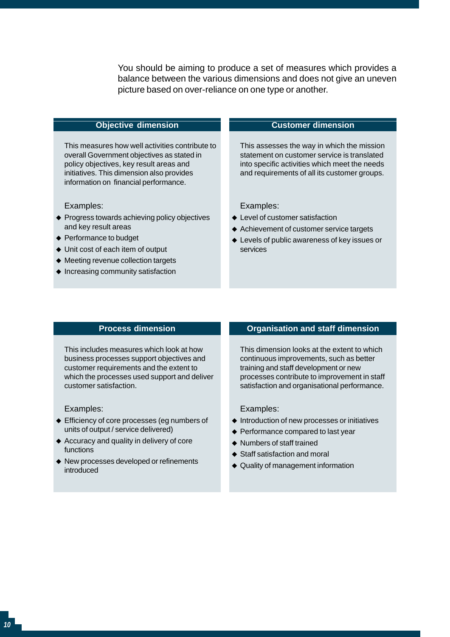You should be aiming to produce a set of measures which provides a balance between the various dimensions and does not give an uneven picture based on over-reliance on one type or another.

#### **Objective dimension**

This measures how well activities contribute to overall Government objectives as stated in policy objectives, key result areas and initiatives. This dimension also provides information on financial performance.

#### Examples:

- ◆ Progress towards achieving policy objectives and key result areas
- ◆ Performance to budget
- ◆ Unit cost of each item of output
- ◆ Meeting revenue collection targets
- Increasing community satisfaction

#### **Customer dimension**

This assesses the way in which the mission statement on customer service is translated into specific activities which meet the needs and requirements of all its customer groups.

#### Examples:

- Level of customer satisfaction
- Achievement of customer service targets
- Levels of public awareness of key issues or services

#### **Process dimension**

This includes measures which look at how business processes support objectives and customer requirements and the extent to which the processes used support and deliver customer satisfaction.

Examples:

- ◆ Efficiency of core processes (eg numbers of units of output / service delivered)
- ◆ Accuracy and quality in delivery of core functions
- New processes developed or refinements introduced

#### **Organisation and staff dimension**

This dimension looks at the extent to which continuous improvements, such as better training and staff development or new processes contribute to improvement in staff satisfaction and organisational performance.

Examples:

- Introduction of new processes or initiatives
- ◆ Performance compared to last year
- Numbers of staff trained
- Staff satisfaction and moral
- ◆ Quality of management information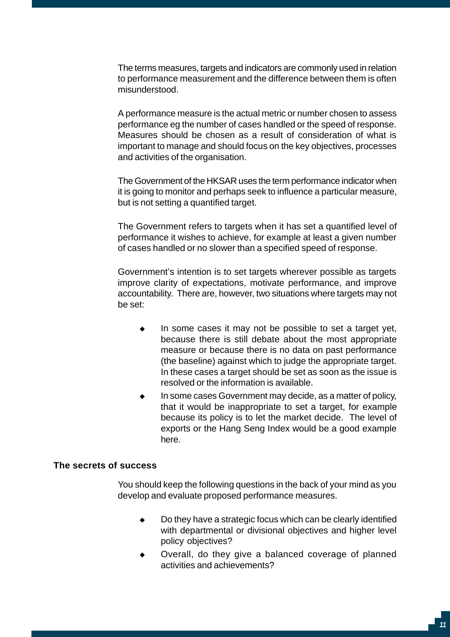The terms measures, targets and indicators are commonly used in relation to performance measurement and the difference between them is often misunderstood.

A performance measure is the actual metric or number chosen to assess performance eg the number of cases handled or the speed of response. Measures should be chosen as a result of consideration of what is important to manage and should focus on the key objectives, processes and activities of the organisation.

The Government of the HKSAR uses the term performance indicator when it is going to monitor and perhaps seek to influence a particular measure, but is not setting a quantified target.

The Government refers to targets when it has set a quantified level of performance it wishes to achieve, for example at least a given number of cases handled or no slower than a specified speed of response.

Government's intention is to set targets wherever possible as targets improve clarity of expectations, motivate performance, and improve accountability. There are, however, two situations where targets may not be set:

- • In some cases it may not be possible to set a target yet, because there is still debate about the most appropriate measure or because there is no data on past performance (the baseline) against which to judge the appropriate target. In these cases a target should be set as soon as the issue is resolved or the information is available.
- • In some cases Government may decide, as a matter of policy, that it would be inappropriate to set a target, for example because its policy is to let the market decide. The level of exports or the Hang Seng Index would be a good example here.

#### **The secrets of success**

You should keep the following questions in the back of your mind as you develop and evaluate proposed performance measures.

- • Do they have a strategic focus which can be clearly identified with departmental or divisional objectives and higher level policy objectives?
- $\bullet$ Overall, do they give a balanced coverage of planned activities and achievements?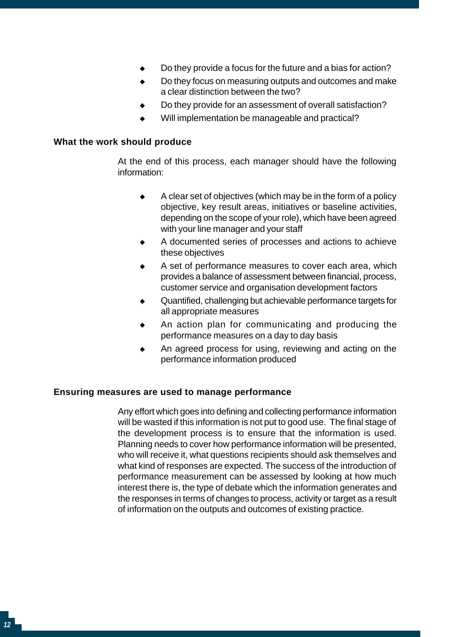- $\bullet$ Do they provide a focus for the future and a bias for action?
- $\bullet$ Do they focus on measuring outputs and outcomes and make a clear distinction between the two?
- $\bullet$ Do they provide for an assessment of overall satisfaction?
- $\bullet$ Will implementation be manageable and practical?

#### **What the work should produce**

At the end of this process, each manager should have the following information:

- • A clear set of objectives (which may be in the form of a policy objective, key result areas, initiatives or baseline activities, depending on the scope of your role), which have been agreed with your line manager and your staff
- $\bullet$ A documented series of processes and actions to achieve these objectives
- $\bullet$ A set of performance measures to cover each area, which provides a balance of assessment between financial, process, customer service and organisation development factors
- $\bullet$ Quantified, challenging but achievable performance targets for all appropriate measures
- • An action plan for communicating and producing the performance measures on a day to day basis
- $\bullet$ An agreed process for using, reviewing and acting on the performance information produced

#### **Ensuring measures are used to manage performance**

Any effort which goes into defining and collecting performance information will be wasted if this information is not put to good use. The final stage of the development process is to ensure that the information is used. Planning needs to cover how performance information will be presented, who will receive it, what questions recipients should ask themselves and what kind of responses are expected. The success of the introduction of performance measurement can be assessed by looking at how much interest there is, the type of debate which the information generates and the responses in terms of changes to process, activity or target as a result of information on the outputs and outcomes of existing practice.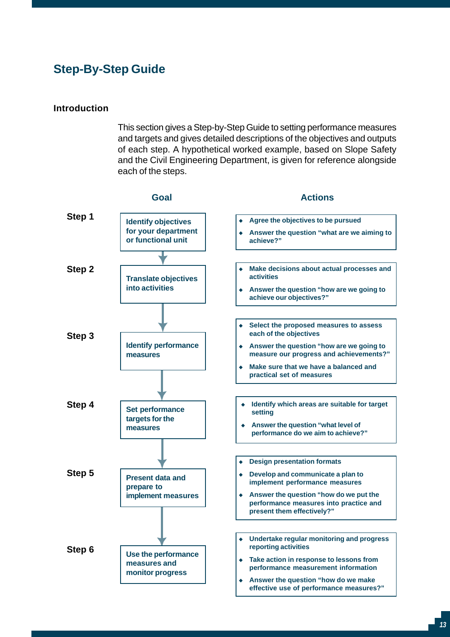## **Step-By-Step Guide**

#### **Introduction**

This section gives a Step-by-Step Guide to setting performance measures and targets and gives detailed descriptions of the objectives and outputs of each step. A hypothetical worked example, based on Slope Safety and the Civil Engineering Department, is given for reference alongside each of the steps.

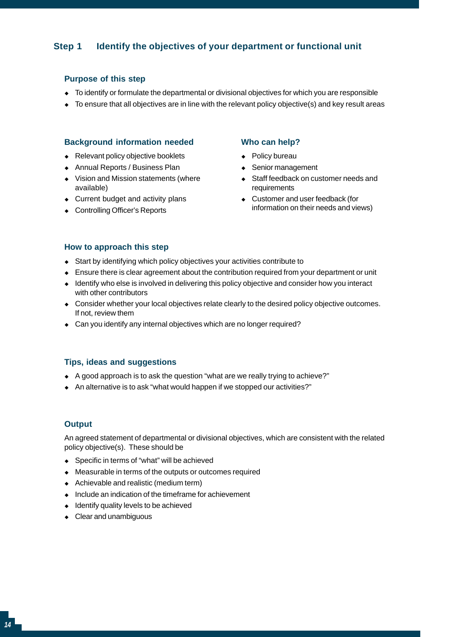## **Step 1 Identify the objectives of your department or functional unit**

#### **Purpose of this step**

- • To identify or formulate the departmental or divisional objectives for which you are responsible
- To ensure that all objectives are in line with the relevant policy objective(s) and key result areas

#### **Background information needed**

- Relevant policy objective booklets
- ◆ Annual Reports / Business Plan
- Vision and Mission statements (where available)
- Current budget and activity plans
- ◆ Controlling Officer's Reports

## **Who can help?**

- Policy bureau
- • Senior management
- Staff feedback on customer needs and requirements
- Customer and user feedback (for information on their needs and views)

#### **How to approach this step**

- Start by identifying which policy objectives your activities contribute to
- • Ensure there is clear agreement about the contribution required from your department or unit
- Identify who else is involved in delivering this policy objective and consider how you interact with other contributors
- Consider whether your local objectives relate clearly to the desired policy objective outcomes. If not, review them
- Can you identify any internal objectives which are no longer required?

#### **Tips, ideas and suggestions**

- ◆ A good approach is to ask the question "what are we really trying to achieve?"
- An alternative is to ask "what would happen if we stopped our activities?"

#### **Output**

An agreed statement of departmental or divisional objectives, which are consistent with the related policy objective(s). These should be

- ◆ Specific in terms of "what" will be achieved
- Measurable in terms of the outputs or outcomes required
- ◆ Achievable and realistic (medium term)
- Include an indication of the timeframe for achievement
- Identify quality levels to be achieved
- Clear and unambiguous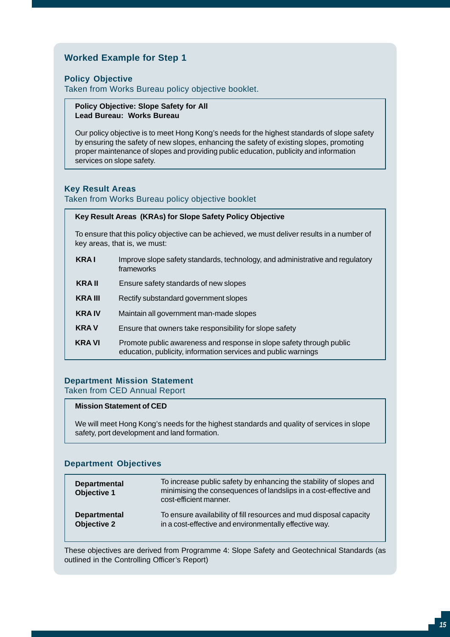### **Worked Example for Step 1**

#### **Policy Objective**

Taken from Works Bureau policy objective booklet.

#### **Policy Objective: Slope Safety for All Lead Bureau: Works Bureau**

Our policy objective is to meet Hong Kong's needs for the highest standards of slope safety by ensuring the safety of new slopes, enhancing the safety of existing slopes, promoting proper maintenance of slopes and providing public education, publicity and information services on slope safety.

#### **Key Result Areas**

Taken from Works Bureau policy objective booklet

#### **Key Result Areas (KRAs) for Slope Safety Policy Objective**

To ensure that this policy objective can be achieved, we must deliver results in a number of key areas, that is, we must:

- **KRA I** Improve slope safety standards, technology, and administrative and regulatory frameworks
- **KRA II** Ensure safety standards of new slopes
- **KRA III** Rectify substandard government slopes
- **KRA IV** Maintain all government man-made slopes
- **KRA V** Ensure that owners take responsibility for slope safety
- **KRA VI** Promote public awareness and response in slope safety through public education, publicity, information services and public warnings

#### **Department Mission Statement**

Taken from CED Annual Report

#### **Mission Statement of CED**

We will meet Hong Kong's needs for the highest standards and quality of services in slope safety, port development and land formation.

#### **Department Objectives**

| <b>Departmental</b><br><b>Objective 1</b> | To increase public safety by enhancing the stability of slopes and<br>minimising the consequences of landslips in a cost-effective and<br>cost-efficient manner. |
|-------------------------------------------|------------------------------------------------------------------------------------------------------------------------------------------------------------------|
| <b>Departmental</b>                       | To ensure availability of fill resources and mud disposal capacity                                                                                               |
| <b>Objective 2</b>                        | in a cost-effective and environmentally effective way.                                                                                                           |

These objectives are derived from Programme 4: Slope Safety and Geotechnical Standards (as outlined in the Controlling Officer's Report)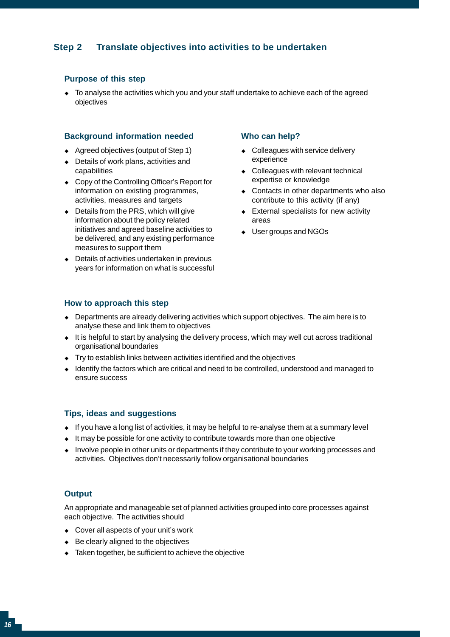## **Step 2 Translate objectives into activities to be undertaken**

#### **Purpose of this step**

To analyse the activities which you and your staff undertake to achieve each of the agreed objectives

#### **Background information needed**

- • Agreed objectives (output of Step 1)
- Details of work plans, activities and capabilities
- ◆ Copy of the Controlling Officer's Report for information on existing programmes, activities, measures and targets
- Details from the PRS, which will give information about the policy related initiatives and agreed baseline activities to be delivered, and any existing performance measures to support them
- Details of activities undertaken in previous years for information on what is successful

#### **Who can help?**

- Colleagues with service delivery experience
- • Colleagues with relevant technical expertise or knowledge
- Contacts in other departments who also contribute to this activity (if any)
- • External specialists for new activity areas
- User groups and NGOs

#### **How to approach this step**

- $\bullet$  Departments are already delivering activities which support objectives. The aim here is to analyse these and link them to objectives
- It is helpful to start by analysing the delivery process, which may well cut across traditional organisational boundaries
- • Try to establish links between activities identified and the objectives
- Identify the factors which are critical and need to be controlled, understood and managed to ensure success

#### **Tips, ideas and suggestions**

- $\bullet$  If you have a long list of activities, it may be helpful to re-analyse them at a summary level
- $\bullet$  It may be possible for one activity to contribute towards more than one objective
- Involve people in other units or departments if they contribute to your working processes and activities. Objectives don't necessarily follow organisational boundaries

#### **Output**

An appropriate and manageable set of planned activities grouped into core processes against each objective. The activities should

- Cover all aspects of your unit's work
- ◆ Be clearly aligned to the objectives
- Taken together, be sufficient to achieve the objective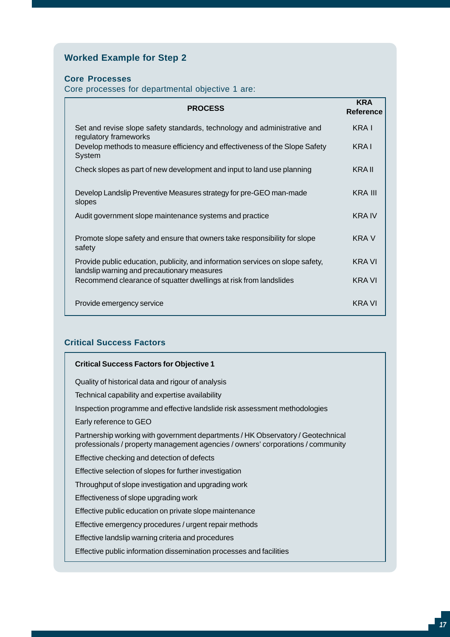## **Worked Example for Step 2**

#### **Core Processes**

Core processes for departmental objective 1 are:

| <b>PROCESS</b>                                                                                                                | <b>KRA</b><br>Reference |
|-------------------------------------------------------------------------------------------------------------------------------|-------------------------|
| Set and revise slope safety standards, technology and administrative and<br>regulatory frameworks                             | KRA I                   |
| Develop methods to measure efficiency and effectiveness of the Slope Safety<br>System                                         | KRA I                   |
| Check slopes as part of new development and input to land use planning                                                        | KRA II                  |
| Develop Landslip Preventive Measures strategy for pre-GEO man-made<br>slopes                                                  | KRA III                 |
| Audit government slope maintenance systems and practice                                                                       | KRA IV                  |
| Promote slope safety and ensure that owners take responsibility for slope<br>safety                                           | KRA V                   |
| Provide public education, publicity, and information services on slope safety,<br>landslip warning and precautionary measures | KRA VI                  |
| Recommend clearance of squatter dwellings at risk from landslides                                                             | <b>KRA VI</b>           |
| Provide emergency service                                                                                                     | <b>KRA VI</b>           |

### **Critical Success Factors**

| <b>Critical Success Factors for Objective 1</b>                                                                                                                    |  |
|--------------------------------------------------------------------------------------------------------------------------------------------------------------------|--|
| Quality of historical data and rigour of analysis                                                                                                                  |  |
| Technical capability and expertise availability                                                                                                                    |  |
| Inspection programme and effective landslide risk assessment methodologies                                                                                         |  |
| Early reference to GEO                                                                                                                                             |  |
| Partnership working with government departments / HK Observatory / Geotechnical<br>professionals / property management agencies / owners' corporations / community |  |
| Effective checking and detection of defects                                                                                                                        |  |
| Effective selection of slopes for further investigation                                                                                                            |  |
| Throughput of slope investigation and upgrading work                                                                                                               |  |
| Effectiveness of slope upgrading work                                                                                                                              |  |
| Effective public education on private slope maintenance                                                                                                            |  |
| Effective emergency procedures / urgent repair methods                                                                                                             |  |
| Effective landslip warning criteria and procedures                                                                                                                 |  |
| Effective public information dissemination processes and facilities                                                                                                |  |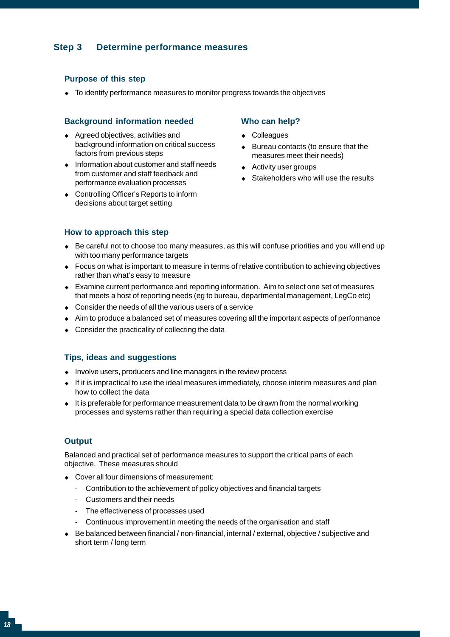### **Step 3 Determine performance measures**

#### **Purpose of this step**

• To identify performance measures to monitor progress towards the objectives

#### **Background information needed**

- • Agreed objectives, activities and background information on critical success factors from previous steps
- Information about customer and staff needs from customer and staff feedback and performance evaluation processes
- ◆ Controlling Officer's Reports to inform decisions about target setting

#### **Who can help?**

- Colleagues
- Bureau contacts (to ensure that the measures meet their needs)
- Activity user groups
- Stakeholders who will use the results

#### **How to approach this step**

- Be careful not to choose too many measures, as this will confuse priorities and you will end up with too many performance targets
- Focus on what is important to measure in terms of relative contribution to achieving objectives rather than what's easy to measure
- • Examine current performance and reporting information. Aim to select one set of measures that meets a host of reporting needs (eg to bureau, departmental management, LegCo etc)
- $\bullet$  Consider the needs of all the various users of a service
- • Aim to produce a balanced set of measures covering all the important aspects of performance
- Consider the practicality of collecting the data

#### **Tips, ideas and suggestions**

- Involve users, producers and line managers in the review process
- $\bullet$  If it is impractical to use the ideal measures immediately, choose interim measures and plan how to collect the data
- $\bullet$  It is preferable for performance measurement data to be drawn from the normal working processes and systems rather than requiring a special data collection exercise

#### **Output**

Balanced and practical set of performance measures to support the critical parts of each objective. These measures should

- • Cover all four dimensions of measurement:
	- Contribution to the achievement of policy objectives and financial targets
	- Customers and their needs
	- The effectiveness of processes used
	- Continuous improvement in meeting the needs of the organisation and staff
- • Be balanced between financial / non-financial, internal / external, objective / subjective and short term / long term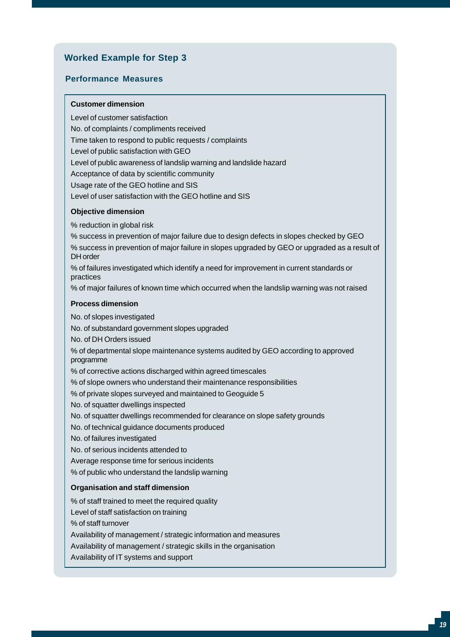## **Worked Example for Step 3**

#### **Performance Measures**

#### **Customer dimension**

Level of customer satisfaction No. of complaints / compliments received Time taken to respond to public requests / complaints Level of public satisfaction with GEO Level of public awareness of landslip warning and landslide hazard Acceptance of data by scientific community Usage rate of the GEO hotline and SIS Level of user satisfaction with the GEO hotline and SIS

#### **Objective dimension**

% reduction in global risk

% success in prevention of major failure due to design defects in slopes checked by GEO % success in prevention of major failure in slopes upgraded by GEO or upgraded as a result of DH order % of failures investigated which identify a need for improvement in current standards or

practices

% of major failures of known time which occurred when the landslip warning was not raised

#### **Process dimension**

No. of slopes investigated

No. of substandard government slopes upgraded

No. of DH Orders issued

% of departmental slope maintenance systems audited by GEO according to approved programme

% of corrective actions discharged within agreed timescales

% of slope owners who understand their maintenance responsibilities

% of private slopes surveyed and maintained to Geoguide 5

No. of squatter dwellings inspected

No. of squatter dwellings recommended for clearance on slope safety grounds

No. of technical guidance documents produced

No. of failures investigated

No. of serious incidents attended to

Average response time for serious incidents

% of public who understand the landslip warning

#### **Organisation and staff dimension**

% of staff trained to meet the required quality

Level of staff satisfaction on training

% of staff turnover

Availability of management / strategic information and measures

Availability of management / strategic skills in the organisation

Availability of IT systems and support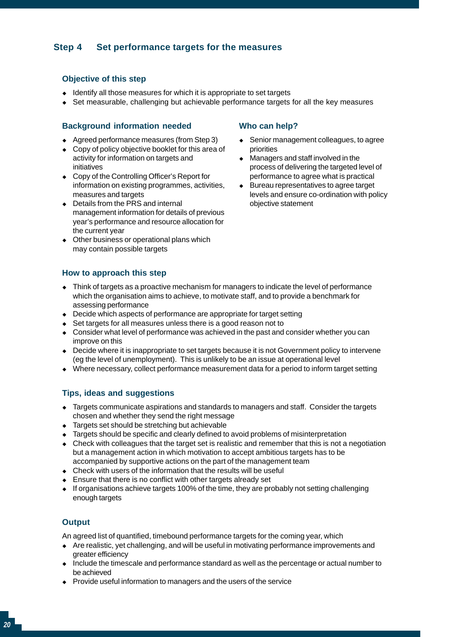## **Step 4 Set performance targets for the measures**

#### **Objective of this step**

- $\bullet$  Identify all those measures for which it is appropriate to set targets
- • Set measurable, challenging but achievable performance targets for all the key measures

#### **Background information needed**

- • Agreed performance measures (from Step 3)
- Copy of policy objective booklet for this area of activity for information on targets and initiatives
- ◆ Copy of the Controlling Officer's Report for information on existing programmes, activities, measures and targets
- Details from the PRS and internal management information for details of previous year's performance and resource allocation for the current year
- Other business or operational plans which may contain possible targets

#### **How to approach this step**

- $\bullet$  Think of targets as a proactive mechanism for managers to indicate the level of performance which the organisation aims to achieve, to motivate staff, and to provide a benchmark for assessing performance
- Decide which aspects of performance are appropriate for target setting
- Set targets for all measures unless there is a good reason not to
- $\bullet$  Consider what level of performance was achieved in the past and consider whether you can improve on this
- Decide where it is inappropriate to set targets because it is not Government policy to intervene (eg the level of unemployment). This is unlikely to be an issue at operational level
- • Where necessary, collect performance measurement data for a period to inform target setting

#### **Tips, ideas and suggestions**

- • Targets communicate aspirations and standards to managers and staff. Consider the targets chosen and whether they send the right message
- Targets set should be stretching but achievable
- • Targets should be specific and clearly defined to avoid problems of misinterpretation
- Check with colleagues that the target set is realistic and remember that this is not a negotiation but a management action in which motivation to accept ambitious targets has to be accompanied by supportive actions on the part of the management team
- Check with users of the information that the results will be useful
- Ensure that there is no conflict with other targets already set
- • If organisations achieve targets 100% of the time, they are probably not setting challenging enough targets

#### **Output**

An agreed list of quantified, timebound performance targets for the coming year, which

- • Are realistic, yet challenging, and will be useful in motivating performance improvements and greater efficiency
- • Include the timescale and performance standard as well as the percentage or actual number to be achieved
- Provide useful information to managers and the users of the service

#### **Who can help?**

- ◆ Senior management colleagues, to agree priorities
- Managers and staff involved in the process of delivering the targeted level of performance to agree what is practical
- Bureau representatives to agree target levels and ensure co-ordination with policy objective statement •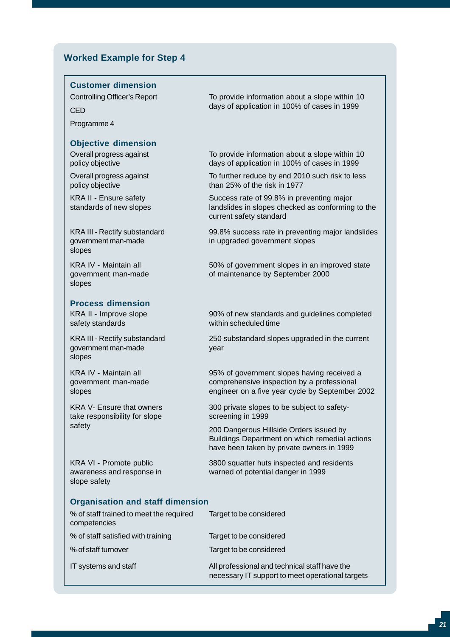#### **Worked Example for Step 4**

#### **Customer dimension**

Programme 4

#### **Objective dimension**

Overall progress against policy objective

Overall progress against policy objective

KRA II - Ensure safety standards of new slopes

KRA III - Rectify substandard government man-made slopes

KRA IV - Maintain all government man-made slopes

#### **Process dimension**

KRA II - Improve slope safety standards

KRA III - Rectify substandard government man-made slopes

KRA IV - Maintain all government man-made slopes

KRA V- Ensure that owners take responsibility for slope safety

KRA VI - Promote public awareness and response in slope safety

Controlling Officer's Report To provide information about a slope within 10 days of application in 100% of cases in 1999<br>CED

> To provide information about a slope within 10 days of application in 100% of cases in 1999

To further reduce by end 2010 such risk to less than 25% of the risk in 1977

Success rate of 99.8% in preventing major landslides in slopes checked as conforming to the current safety standard

99.8% success rate in preventing major landslides in upgraded government slopes

50% of government slopes in an improved state of maintenance by September 2000

90% of new standards and guidelines completed within scheduled time

250 substandard slopes upgraded in the current year

95% of government slopes having received a comprehensive inspection by a professional engineer on a five year cycle by September 2002

300 private slopes to be subject to safetyscreening in 1999

200 Dangerous Hillside Orders issued by Buildings Department on which remedial actions have been taken by private owners in 1999

3800 squatter huts inspected and residents warned of potential danger in 1999

#### **Organisation and staff dimension**

| % of staff trained to meet the required<br>competencies | Target to be considered                                                                           |
|---------------------------------------------------------|---------------------------------------------------------------------------------------------------|
| % of staff satisfied with training                      | Target to be considered                                                                           |
| % of staff turnover                                     | Target to be considered                                                                           |
| IT systems and staff                                    | All professional and technical staff have the<br>necessary IT support to meet operational targets |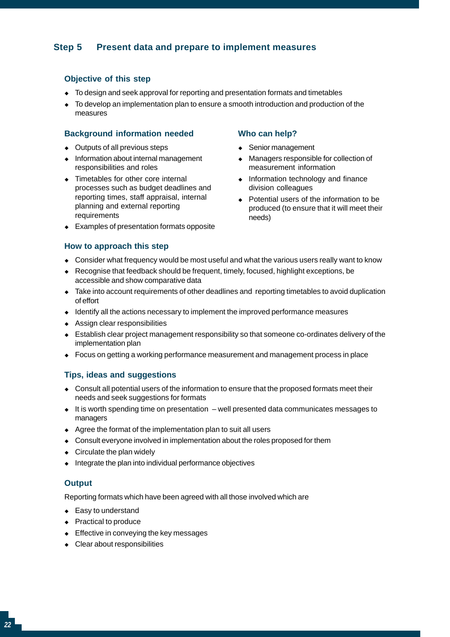## **Step 5 Present data and prepare to implement measures**

#### **Objective of this step**

- To design and seek approval for reporting and presentation formats and timetables
- • To develop an implementation plan to ensure a smooth introduction and production of the measures

#### **Background information needed**

- Outputs of all previous steps
- • Information about internal management responsibilities and roles
- Timetables for other core internal processes such as budget deadlines and reporting times, staff appraisal, internal planning and external reporting requirements
- • Examples of presentation formats opposite

#### **How to approach this step**

### **Who can help?**

- Senior management
- Managers responsible for collection of measurement information •
- Information technology and finance division colleagues
- Potential users of the information to be produced (to ensure that it will meet their needs)
- Consider what frequency would be most useful and what the various users really want to know
- Recognise that feedback should be frequent, timely, focused, highlight exceptions, be accessible and show comparative data
- • Take into account requirements of other deadlines and reporting timetables to avoid duplication of effort
- Identify all the actions necessary to implement the improved performance measures
- • Assign clear responsibilities
- • Establish clear project management responsibility so that someone co-ordinates delivery of the implementation plan
- • Focus on getting a working performance measurement and management process in place

#### **Tips, ideas and suggestions**

- • Consult all potential users of the information to ensure that the proposed formats meet their needs and seek suggestions for formats
- $\bullet$  It is worth spending time on presentation  $-$  well presented data communicates messages to managers
- Agree the format of the implementation plan to suit all users
- Consult everyone involved in implementation about the roles proposed for them
- $\bullet$  Circulate the plan widely
- • Integrate the plan into individual performance objectives

#### **Output**

Reporting formats which have been agreed with all those involved which are

- Easy to understand
- ◆ Practical to produce
- ◆ Effective in conveying the key messages
- Clear about responsibilities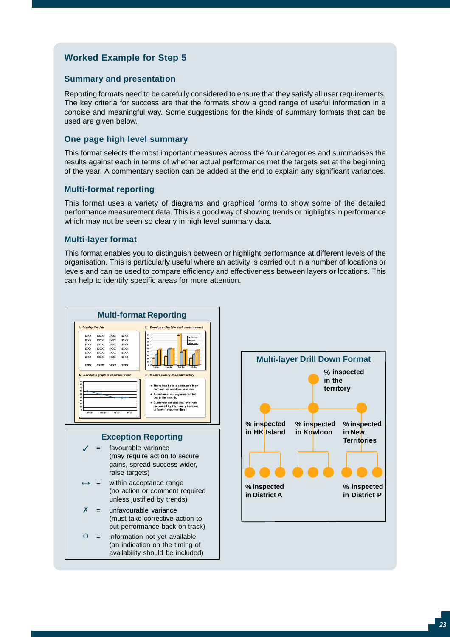## **Worked Example for Step 5**

#### **Summary and presentation**

Reporting formats need to be carefully considered to ensure that they satisfy all user requirements. The key criteria for success are that the formats show a good range of useful information in a concise and meaningful way. Some suggestions for the kinds of summary formats that can be used are given below.

#### **One page high level summary**

This format selects the most important measures across the four categories and summarises the results against each in terms of whether actual performance met the targets set at the beginning of the year. A commentary section can be added at the end to explain any significant variances.

#### **Multi-format reporting**

This format uses a variety of diagrams and graphical forms to show some of the detailed performance measurement data. This is a good way of showing trends or highlights in performance which may not be seen so clearly in high level summary data.

#### **Multi-layer format**

This format enables you to distinguish between or highlight performance at different levels of the organisation. This is particularly useful where an activity is carried out in a number of locations or levels and can be used to compare efficiency and effectiveness between layers or locations. This can help to identify specific areas for more attention.



#### **Exception Reporting**

- $\checkmark$ favourable variance (may require action to secure gains, spread success wider, raise targets)
- $\leftrightarrow$ within acceptance range (no action or comment required unless justified by trends)
- x = unfavourable variance (must take corrective action to put performance back on track)
- $\Omega$ = information not yet available (an indication on the timing of availability should be included)

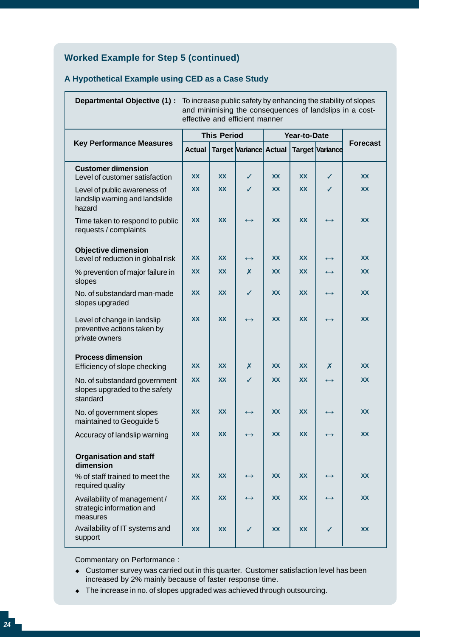## **Worked Example for Step 5 (continued)**

### **A Hypothetical Example using CED as a Case Study**

| Departmental Objective (1) :                                                 |                    |           | effective and efficient manner |           |           |                        | To increase public safety by enhancing the stability of slopes<br>and minimising the consequences of landslips in a cost- |
|------------------------------------------------------------------------------|--------------------|-----------|--------------------------------|-----------|-----------|------------------------|---------------------------------------------------------------------------------------------------------------------------|
|                                                                              | <b>This Period</b> |           | Year-to-Date                   |           |           |                        |                                                                                                                           |
| <b>Key Performance Measures</b>                                              | <b>Actual</b>      |           | Target Variance Actual         |           |           | <b>Target Variance</b> | <b>Forecast</b>                                                                                                           |
| <b>Customer dimension</b><br>Level of customer satisfaction                  | XX                 | <b>XX</b> | ✓                              | XX        | XX        | ✓                      | XX                                                                                                                        |
| Level of public awareness of<br>landslip warning and landslide<br>hazard     | <b>XX</b>          | <b>XX</b> | ✓                              | <b>XX</b> | <b>XX</b> | ✓                      | <b>XX</b>                                                                                                                 |
| Time taken to respond to public<br>requests / complaints                     | <b>XX</b>          | <b>XX</b> | $\leftrightarrow$              | <b>XX</b> | <b>XX</b> | $\leftrightarrow$      | <b>XX</b>                                                                                                                 |
| <b>Objective dimension</b><br>Level of reduction in global risk              | XX                 | <b>XX</b> | $\leftrightarrow$              | XX        | <b>XX</b> | $\leftrightarrow$      | XX                                                                                                                        |
| % prevention of major failure in<br>slopes                                   | XX                 | <b>XX</b> | X                              | <b>XX</b> | <b>XX</b> | $\leftrightarrow$      | <b>XX</b>                                                                                                                 |
| No. of substandard man-made<br>slopes upgraded                               | <b>XX</b>          | <b>XX</b> | $\checkmark$                   | <b>XX</b> | <b>XX</b> | $\leftrightarrow$      | <b>XX</b>                                                                                                                 |
| Level of change in landslip<br>preventive actions taken by<br>private owners | <b>XX</b>          | <b>XX</b> | $\leftrightarrow$              | <b>XX</b> | <b>XX</b> | $\leftrightarrow$      | <b>XX</b>                                                                                                                 |
| <b>Process dimension</b><br>Efficiency of slope checking                     | <b>XX</b>          | <b>XX</b> | X                              | <b>XX</b> | <b>XX</b> | X                      | <b>XX</b>                                                                                                                 |
| No. of substandard government<br>slopes upgraded to the safety<br>standard   | <b>XX</b>          | <b>XX</b> | ✓                              | <b>XX</b> | <b>XX</b> | $\leftrightarrow$      | <b>XX</b>                                                                                                                 |
| No. of government slopes<br>maintained to Geoguide 5                         | <b>XX</b>          | <b>XX</b> | $\leftrightarrow$              | <b>XX</b> | <b>XX</b> | $\leftrightarrow$      | <b>XX</b>                                                                                                                 |
| Accuracy of landslip warning                                                 | <b>XX</b>          | <b>XX</b> | $\leftrightarrow$              | <b>XX</b> | XX        | $\leftrightarrow$      | <b>XX</b>                                                                                                                 |
| <b>Organisation and staff</b><br>dimension                                   |                    |           |                                |           |           |                        |                                                                                                                           |
| % of staff trained to meet the<br>required quality                           | <b>XX</b>          | <b>XX</b> | $\leftrightarrow$              | <b>XX</b> | XX        | $\leftrightarrow$      | <b>XX</b>                                                                                                                 |
| Availability of management /<br>strategic information and<br>measures        | <b>XX</b>          | <b>XX</b> | $\leftrightarrow$              | <b>XX</b> | XX        | $\leftrightarrow$      | <b>XX</b>                                                                                                                 |
| Availability of IT systems and<br>support                                    | <b>XX</b>          | <b>XX</b> | ✓                              | <b>XX</b> | <b>XX</b> | ✓                      | <b>XX</b>                                                                                                                 |

Commentary on Performance :

- Customer survey was carried out in this quarter. Customer satisfaction level has been i ncreased by 2% mainly because of faster response time.
- The increase in no. of slopes upgraded was achieved through outsourcing.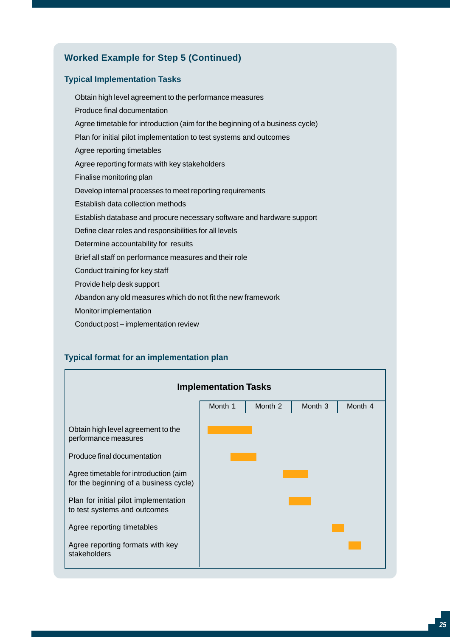## **Worked Example for Step 5 (Continued)**

#### **Typical Implementation Tasks**

Obtain high level agreement to the performance measures Produce final documentation Agree timetable for introduction (aim for the beginning of a business cycle) Plan for initial pilot implementation to test systems and outcomes Agree reporting timetables Agree reporting formats with key stakeholders Finalise monitoring plan Develop internal processes to meet reporting requirements Establish data collection methods Establish database and procure necessary software and hardware support Define clear roles and responsibilities for all levels Determine accountability for results Brief all staff on performance measures and their role Conduct training for key staff Provide help desk support Abandon any old measures which do not fit the new framework Monitor implementation

Conduct post – implementation review

#### **Typical format for an implementation plan**

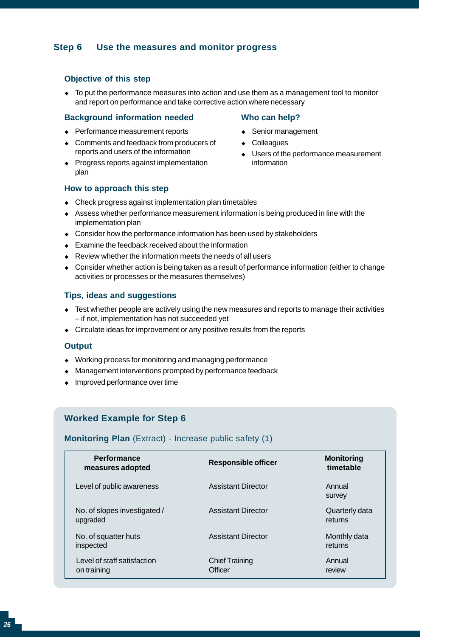#### **Step 6 Use the measures and monitor progress**

#### **Objective of this step**

 $\bullet$  To put the performance measures into action and use them as a management tool to monitor and report on performance and take corrective action where necessary

#### **Background information needed**

- ◆ Performance measurement reports
- Comments and feedback from producers of reports and users of the information
- Progress reports against implementation plan

#### **Who can help?**

- Senior management
- Colleagues
- • Users of the performance measurement information

#### **How to approach this step**

- Check progress against implementation plan timetables
- Assess whether performance measurement information is being produced in line with the implementation plan •
- Consider how the performance information has been used by stakeholders
- Examine the feedback received about the information •
- Review whether the information meets the needs of all users •
- Consider whether action is being taken as a result of performance information (either to change activities or processes or the measures themselves) •

#### **Tips, ideas and suggestions**

- • Test whether people are actively using the new measures and reports to manage their activities – if not, implementation has not succeeded yet
- Circulate ideas for improvement or any positive results from the reports

#### **Output**

- • Working process for monitoring and managing performance
- • Management interventions prompted by performance feedback
- Improved performance over time

### **Worked Example for Step 6**

#### **Monitoring Plan** (Extract) - Increase public safety (1)

| <b>Performance</b><br>measures adopted     | <b>Responsible officer</b>       | <b>Monitoring</b><br>timetable |
|--------------------------------------------|----------------------------------|--------------------------------|
| Level of public awareness                  | <b>Assistant Director</b>        | Annual<br>survey               |
| No. of slopes investigated /<br>upgraded   | <b>Assistant Director</b>        | Quarterly data<br>returns      |
| No. of squatter huts<br>inspected          | <b>Assistant Director</b>        | Monthly data<br>returns        |
| Level of staff satisfaction<br>on training | <b>Chief Training</b><br>Officer | Annual<br>review               |
|                                            |                                  |                                |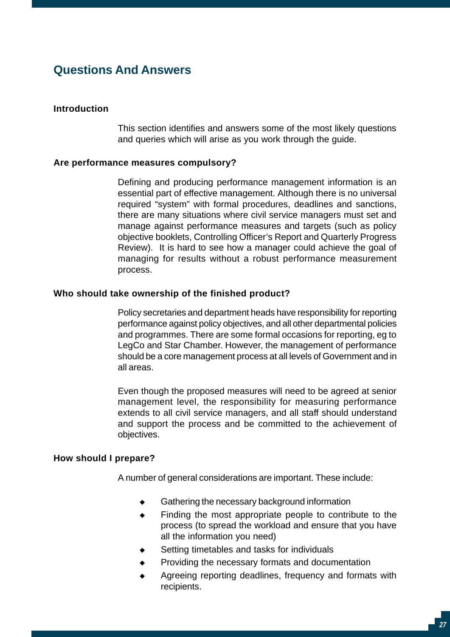## **Questions And Answers**

#### **Introduction**

This section identifies and answers some of the most likely questions and queries which will arise as you work through the guide.

#### **Are performance measures compulsory?**

Defining and producing performance management information is an essential part of effective management. Although there is no universal required "system" with formal procedures, deadlines and sanctions, there are many situations where civil service managers must set and manage against performance measures and targets (such as policy objective booklets, Controlling Officer's Report and Quarterly Progress Review). It is hard to see how a manager could achieve the goal of managing for results without a robust performance measurement process.

#### **Who should take ownership of the finished product?**

Policy secretaries and department heads have responsibility for reporting performance against policy objectives, and all other departmental policies and programmes. There are some formal occasions for reporting, eg to LegCo and Star Chamber. However, the management of performance should be a core management process at all levels of Government and in all areas.

Even though the proposed measures will need to be agreed at senior management level, the responsibility for measuring performance extends to all civil service managers, and all staff should understand and support the process and be committed to the achievement of objectives.

#### **How should I prepare?**

A number of general considerations are important. These include:

- • Gathering the necessary background information
- • Finding the most appropriate people to contribute to the process (to spread the workload and ensure that you have all the information you need)
- $\bullet$ Setting timetables and tasks for individuals
- $\bullet$ Providing the necessary formats and documentation
- • Agreeing reporting deadlines, frequency and formats with recipients.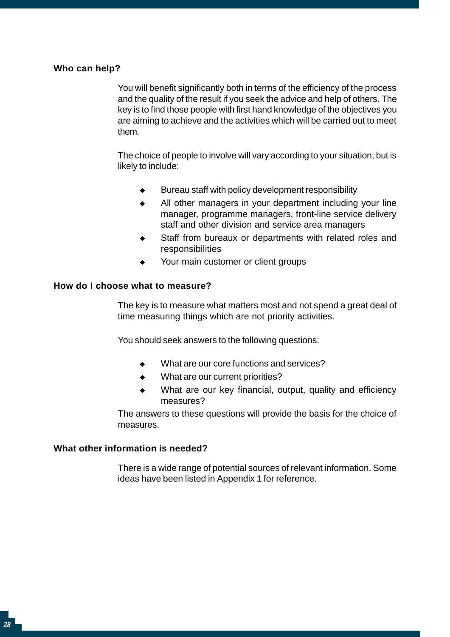#### **Who can help?**

You will benefit significantly both in terms of the efficiency of the process and the quality of the result if you seek the advice and help of others. The key is to find those people with first hand knowledge of the objectives you are aiming to achieve and the activities which will be carried out to meet them.

The choice of people to involve will vary according to your situation, but is likely to include:

- $\bullet$ Bureau staff with policy development responsibility
- $\bullet$ All other managers in your department including your line manager, programme managers, front-line service delivery staff and other division and service area managers
- $\bullet$ Staff from bureaux or departments with related roles and responsibilities
- $\bullet$ Your main customer or client groups

#### **How do I choose what to measure?**

The key is to measure what matters most and not spend a great deal of time measuring things which are not priority activities.

You should seek answers to the following questions:

- $\bullet$ What are our core functions and services?
- $\bullet$ What are our current priorities?
- • What are our key financial, output, quality and efficiency measures?

The answers to these questions will provide the basis for the choice of measures.

#### **What other information is needed?**

There is a wide range of potential sources of relevant information. Some ideas have been listed in Appendix 1 for reference.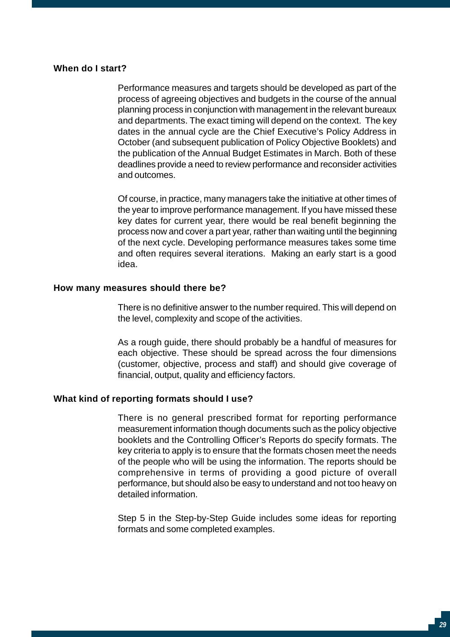#### **When do I start?**

Performance measures and targets should be developed as part of the process of agreeing objectives and budgets in the course of the annual planning process in conjunction with management in the relevant bureaux and departments. The exact timing will depend on the context. The key dates in the annual cycle are the Chief Executive's Policy Address in October (and subsequent publication of Policy Objective Booklets) and the publication of the Annual Budget Estimates in March. Both of these deadlines provide a need to review performance and reconsider activities and outcomes.

Of course, in practice, many managers take the initiative at other times of the year to improve performance management. If you have missed these key dates for current year, there would be real benefit beginning the process now and cover a part year, rather than waiting until the beginning of the next cycle. Developing performance measures takes some time and often requires several iterations. Making an early start is a good idea.

#### **How many measures should there be?**

There is no definitive answer to the number required. This will depend on the level, complexity and scope of the activities.

As a rough guide, there should probably be a handful of measures for each objective. These should be spread across the four dimensions (customer, objective, process and staff) and should give coverage of financial, output, quality and efficiency factors.

#### **What kind of reporting formats should I use?**

There is no general prescribed format for reporting performance measurement information though documents such as the policy objective booklets and the Controlling Officer's Reports do specify formats. The key criteria to apply is to ensure that the formats chosen meet the needs of the people who will be using the information. The reports should be comprehensive in terms of providing a good picture of overall performance, but should also be easy to understand and not too heavy on detailed information.

Step 5 in the Step-by-Step Guide includes some ideas for reporting formats and some completed examples.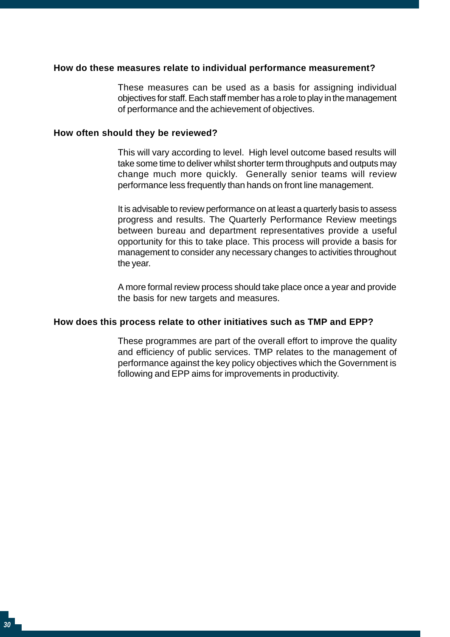#### **How do these measures relate to individual performance measurement?**

These measures can be used as a basis for assigning individual objectives for staff. Each staff member has a role to play in the management of performance and the achievement of objectives.

#### **How often should they be reviewed?**

This will vary according to level. High level outcome based results will take some time to deliver whilst shorter term throughputs and outputs may change much more quickly. Generally senior teams will review performance less frequently than hands on front line management.

It is advisable to review performance on at least a quarterly basis to assess progress and results. The Quarterly Performance Review meetings between bureau and department representatives provide a useful opportunity for this to take place. This process will provide a basis for management to consider any necessary changes to activities throughout the year.

A more formal review process should take place once a year and provide the basis for new targets and measures.

#### **How does this process relate to other initiatives such as TMP and EPP?**

These programmes are part of the overall effort to improve the quality and efficiency of public services. TMP relates to the management of performance against the key policy objectives which the Government is following and EPP aims for improvements in productivity.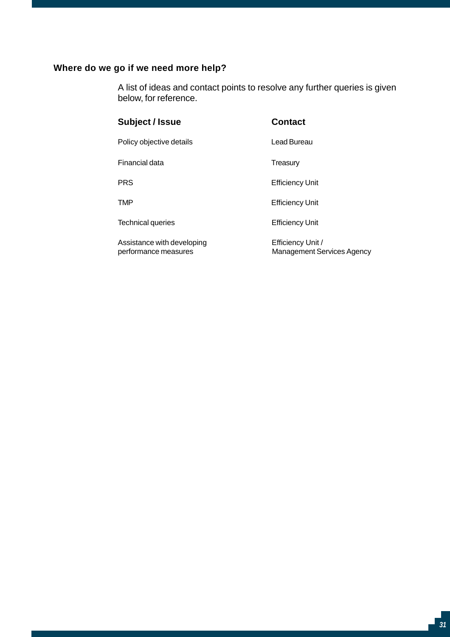## **Where do we go if we need more help?**

A list of ideas and contact points to resolve any further queries is given below, for reference.

### Subject / Issue **Contact**

Policy objective details **Lead Bureau** 

Financial data Treasury

Technical queries **Efficiency Unit** 

Assistance with developing performance measures

PRS Efficiency Unit

TMP Efficiency Unit

Efficiency Unit / Management Services Agency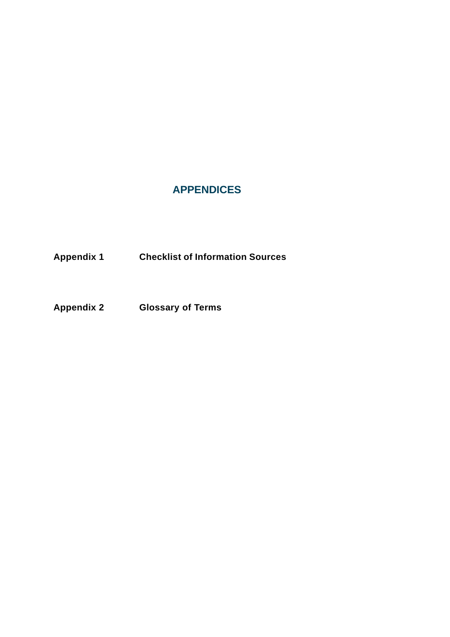## **APPENDICES**

**Appendix 1 Checklist of Information Sources** 

**Appendix 2 Glossary of Terms**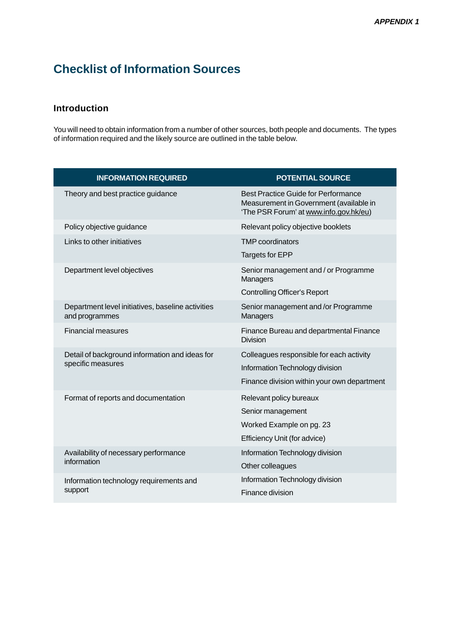## **Checklist of Information Sources**

## **Introduction**

You will need to obtain information from a number of other sources, both people and documents. The types of information required and the likely source are outlined in the table below.

| <b>INFORMATION REQUIRED</b>                                         | <b>POTENTIAL SOURCE</b>                                                                                                         |
|---------------------------------------------------------------------|---------------------------------------------------------------------------------------------------------------------------------|
| Theory and best practice guidance                                   | <b>Best Practice Guide for Performance</b><br>Measurement in Government (available in<br>'The PSR Forum' at www.info.gov.hk/eu) |
| Policy objective guidance                                           | Relevant policy objective booklets                                                                                              |
| Links to other initiatives                                          | <b>TMP</b> coordinators                                                                                                         |
|                                                                     | Targets for EPP                                                                                                                 |
| Department level objectives                                         | Senior management and / or Programme<br>Managers                                                                                |
|                                                                     | <b>Controlling Officer's Report</b>                                                                                             |
| Department level initiatives, baseline activities<br>and programmes | Senior management and /or Programme<br>Managers                                                                                 |
| <b>Financial measures</b>                                           | Finance Bureau and departmental Finance<br><b>Division</b>                                                                      |
| Detail of background information and ideas for<br>specific measures | Colleagues responsible for each activity                                                                                        |
|                                                                     | Information Technology division                                                                                                 |
|                                                                     | Finance division within your own department                                                                                     |
| Format of reports and documentation                                 | Relevant policy bureaux                                                                                                         |
|                                                                     | Senior management                                                                                                               |
|                                                                     | Worked Example on pg. 23                                                                                                        |
|                                                                     | Efficiency Unit (for advice)                                                                                                    |
| Availability of necessary performance                               | Information Technology division                                                                                                 |
| information                                                         | Other colleagues                                                                                                                |
| Information technology requirements and                             | Information Technology division                                                                                                 |
| support                                                             | Finance division                                                                                                                |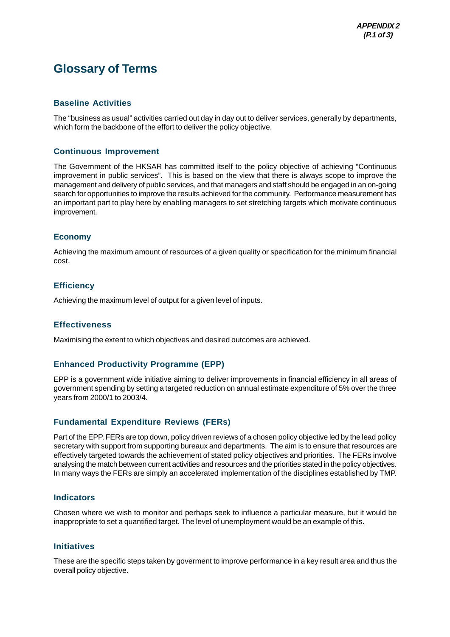## **Glossary of Terms**

#### **Baseline Activities**

The "business as usual" activities carried out day in day out to deliver services, generally by departments, which form the backbone of the effort to deliver the policy objective.

#### **Continuous Improvement**

The Government of the HKSAR has committed itself to the policy objective of achieving "Continuous improvement in public services". This is based on the view that there is always scope to improve the management and delivery of public services, and that managers and staff should be engaged in an on-going search for opportunities to improve the results achieved for the community. Performance measurement has an important part to play here by enabling managers to set stretching targets which motivate continuous improvement.

#### **Economy**

Achieving the maximum amount of resources of a given quality or specification for the minimum financial cost.

#### **Efficiency**

Achieving the maximum level of output for a given level of inputs.

#### **Effectiveness**

Maximising the extent to which objectives and desired outcomes are achieved.

#### **Enhanced Productivity Programme (EPP)**

EPP is a government wide initiative aiming to deliver improvements in financial efficiency in all areas of government spending by setting a targeted reduction on annual estimate expenditure of 5% over the three years from 2000/1 to 2003/4.

#### **Fundamental Expenditure Reviews (FERs)**

Part of the EPP, FERs are top down, policy driven reviews of a chosen policy objective led by the lead policy secretary with support from supporting bureaux and departments. The aim is to ensure that resources are effectively targeted towards the achievement of stated policy objectives and priorities. The FERs involve analysing the match between current activities and resources and the priorities stated in the policy objectives. In many ways the FERs are simply an accelerated implementation of the disciplines established by TMP.

#### **Indicators**

Chosen where we wish to monitor and perhaps seek to influence a particular measure, but it would be inappropriate to set a quantified target. The level of unemployment would be an example of this.

#### **Initiatives**

These are the specific steps taken by goverment to improve performance in a key result area and thus the overall policy objective.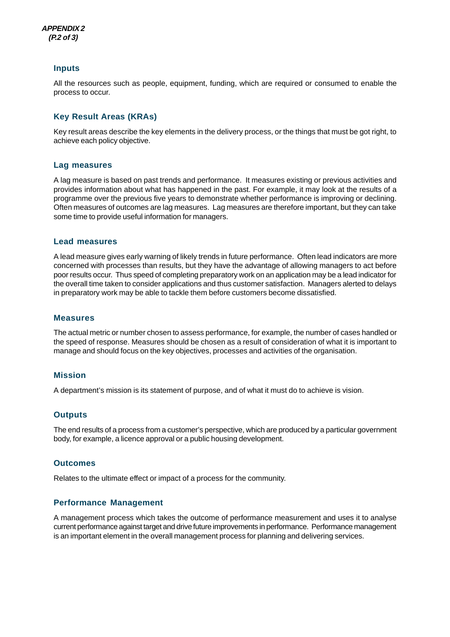

#### **Inputs**

All the resources such as people, equipment, funding, which are required or consumed to enable the process to occur.

#### **Key Result Areas (KRAs)**

Key result areas describe the key elements in the delivery process, or the things that must be got right, to achieve each policy objective.

#### **Lag measures**

A lag measure is based on past trends and performance. It measures existing or previous activities and provides information about what has happened in the past. For example, it may look at the results of a programme over the previous five years to demonstrate whether performance is improving or declining. Often measures of outcomes are lag measures. Lag measures are therefore important, but they can take some time to provide useful information for managers.

#### **Lead measures**

A lead measure gives early warning of likely trends in future performance. Often lead indicators are more concerned with processes than results, but they have the advantage of allowing managers to act before poor results occur. Thus speed of completing preparatory work on an application may be a lead indicator for the overall time taken to consider applications and thus customer satisfaction. Managers alerted to delays in preparatory work may be able to tackle them before customers become dissatisfied.

#### **Measures**

The actual metric or number chosen to assess performance, for example, the number of cases handled or the speed of response. Measures should be chosen as a result of consideration of what it is important to manage and should focus on the key objectives, processes and activities of the organisation.

#### **Mission**

A department's mission is its statement of purpose, and of what it must do to achieve is vision.

#### **Outputs**

The end results of a process from a customer's perspective, which are produced by a particular government body, for example, a licence approval or a public housing development.

#### **Outcomes**

Relates to the ultimate effect or impact of a process for the community.

#### **Performance Management**

A management process which takes the outcome of performance measurement and uses it to analyse current performance against target and drive future improvements in performance. Performance management is an important element in the overall management process for planning and delivering services.